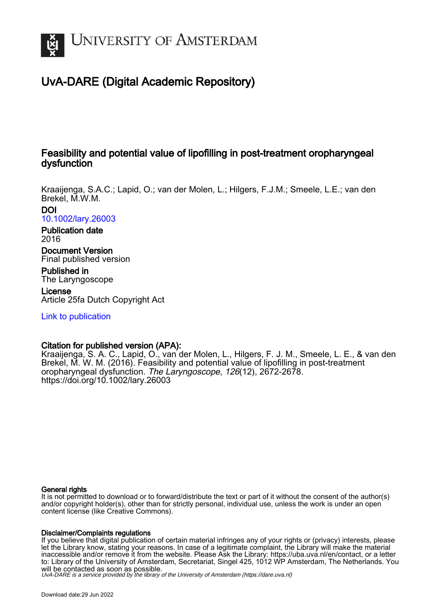

# UvA-DARE (Digital Academic Repository)

# Feasibility and potential value of lipofilling in post-treatment oropharyngeal dysfunction

Kraaijenga, S.A.C.; Lapid, O.; van der Molen, L.; Hilgers, F.J.M.; Smeele, L.E.; van den Brekel, M.W.M.

DOI [10.1002/lary.26003](https://doi.org/10.1002/lary.26003)

Publication date 2016

Document Version Final published version

Published in The Laryngoscope

License Article 25fa Dutch Copyright Act

[Link to publication](https://dare.uva.nl/personal/pure/en/publications/feasibility-and-potential-value-of-lipofilling-in-posttreatment-oropharyngeal-dysfunction(10387ac5-36c8-4938-9151-f357d33b3e54).html)

# Citation for published version (APA):

Kraaijenga, S. A. C., Lapid, O., van der Molen, L., Hilgers, F. J. M., Smeele, L. E., & van den Brekel, M. W. M. (2016). Feasibility and potential value of lipofilling in post-treatment oropharyngeal dysfunction. The Laryngoscope, 126(12), 2672-2678. <https://doi.org/10.1002/lary.26003>

# General rights

It is not permitted to download or to forward/distribute the text or part of it without the consent of the author(s) and/or copyright holder(s), other than for strictly personal, individual use, unless the work is under an open content license (like Creative Commons).

# Disclaimer/Complaints regulations

If you believe that digital publication of certain material infringes any of your rights or (privacy) interests, please let the Library know, stating your reasons. In case of a legitimate complaint, the Library will make the material inaccessible and/or remove it from the website. Please Ask the Library: https://uba.uva.nl/en/contact, or a letter to: Library of the University of Amsterdam, Secretariat, Singel 425, 1012 WP Amsterdam, The Netherlands. You will be contacted as soon as possible.

UvA-DARE is a service provided by the library of the University of Amsterdam (http*s*://dare.uva.nl)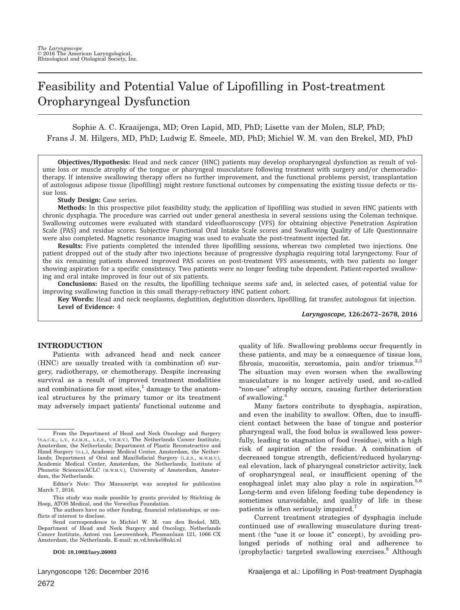# Feasibility and Potential Value of Lipofilling in Post-treatment Oropharyngeal Dysfunction

Sophie A. C. Kraaijenga, MD; Oren Lapid, MD, PhD; Lisette van der Molen, SLP, PhD; Frans J. M. Hilgers, MD, PhD; Ludwig E. Smeele, MD, PhD; Michiel W. M. van den Brekel, MD, PhD

Objectives/Hypothesis: Head and neck cancer (HNC) patients may develop oropharyngeal dysfunction as result of volume loss or muscle atrophy of the tongue or pharyngeal musculature following treatment with surgery and/or chemoradiotherapy. If intensive swallowing therapy offers no further improvement, and the functional problems persist, transplantation of autologous adipose tissue (lipofilling) might restore functional outcomes by compensating the existing tissue defects or tissue loss.

Study Design: Case series.

Methods: In this prospective pilot feasibility study, the application of lipofilling was studied in seven HNC patients with chronic dysphagia. The procedure was carried out under general anesthesia in several sessions using the Coleman technique. Swallowing outcomes were evaluated with standard videofluoroscopy (VFS) for obtaining objective Penetration Aspiration Scale (PAS) and residue scores. Subjective Functional Oral Intake Scale scores and Swallowing Quality of Life Questionnaire were also completed. Magnetic resonance imaging was used to evaluate the post-treatment injected fat.

Results: Five patients completed the intended three lipofilling sessions, whereas two completed two injections. One patient dropped out of the study after two injections because of progressive dysphagia requiring total laryngectomy. Four of the six remaining patients showed improved PAS scores on post-treatment VFS assessments, with two patients no longer showing aspiration for a specific consistency. Two patients were no longer feeding tube dependent. Patient-reported swallowing and oral intake improved in four out of six patients.

Conclusions: Based on the results, the lipofilling technique seems safe and, in selected cases, of potential value for improving swallowing function in this small therapy-refractory HNC patient cohort.

Key Words: Head and neck neoplasms, deglutition, deglutition disorders, lipofilling, fat transfer, autologous fat injection. Level of Evidence: 4

Laryngoscope, 126:2672–2678, 2016

# INTRODUCTION

Patients with advanced head and neck cancer (HNC) are usually treated with (a combination of) surgery, radiotherapy, or chemotherapy. Despite increasing survival as a result of improved treatment modalities and combinations for most sites, $\frac{1}{1}$  damage to the anatomical structures by the primary tumor or its treatment may adversely impact patients' functional outcome and

DOI: 10.1002/lary.26003

quality of life. Swallowing problems occur frequently in these patients, and may be a consequence of tissue loss, fibrosis, mucositis, xerostomia, pain and/or trismus.<sup>2,3</sup> The situation may even worsen when the swallowing musculature is no longer actively used, and so-called "non-use" atrophy occurs, causing further deterioration of swallowing.4

Many factors contribute to dysphagia, aspiration, and even the inability to swallow. Often, due to insufficient contact between the base of tongue and posterior pharyngeal wall, the food bolus is swallowed less powerfully, leading to stagnation of food (residue), with a high risk of aspiration of the residue. A combination of decreased tongue strength, deficient/reduced hyolaryngeal elevation, lack of pharyngeal constrictor activity, lack of oropharyngeal seal, or insufficient opening of the esophageal inlet may also play a role in aspiration.<sup>5,6</sup> Long-term and even lifelong feeding tube dependency is sometimes unavoidable, and quality of life in these patients is often seriously impaired.<sup>7</sup>

Current treatment strategies of dysphagia include continued use of swallowing musculature during treatment (the "use it or loose it" concept), by avoiding prolonged periods of nothing oral and adherence to (prophylactic) targeted swallowing exercises.<sup>8</sup> Although

From the Department of Head and Neck Oncology and Surgery (S.A.C.K., L.V., F.J.M.H., L.E.S., V.W.M.V.), The Netherlands Cancer Institute, Amsterdam, the Netherlands; Department of Plastic Reconstructive and Hand Surgery (O.L.), Academic Medical Center, Amsterdam, the Netherlands; Department of Oral and Maxillofacial Surgery (L.E.S., M.W.M.V.), Academic Medical Center, Amsterdam, the Netherlands; Institute of Phonetic Sciences/ACLC (M.W.M.V.), University of Amsterdam, Amsterdam, the Netherlands.

Editor's Note: This Manuscript was accepted for publication March 7, 2016.

This study was made possible by grants provided by Stichting de Hoop, ATOS Medical, and the Verwelius Foundation.

The authors have no other funding, financial relationships, or conflicts of interest to disclose.

Send correspondence to Michiel W. M. van den Brekel, MD, Department of Head and Neck Surgery and Oncology, Netherlands Cancer Institute, Antoni van Leeuwenhoek, Plesmanlaan 121, 1066 CX Amsterdam, the Netherlands. E-mail: m.vd.brekel@nki.nl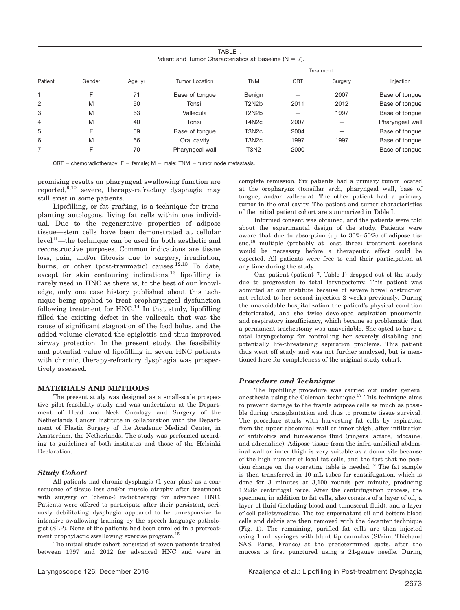| TABLE I.<br>Patient and Tumor Characteristics at Baseline ( $N = 7$ ). |        |         |                       |                                 |            |         |                 |  |  |  |
|------------------------------------------------------------------------|--------|---------|-----------------------|---------------------------------|------------|---------|-----------------|--|--|--|
|                                                                        |        |         |                       |                                 | Treatment  |         |                 |  |  |  |
| Patient                                                                | Gender | Age, yr | <b>Tumor Location</b> | TNM                             | <b>CRT</b> | Surgery | Injection       |  |  |  |
|                                                                        | F      | 71      | Base of tonque        | Benign                          |            | 2007    | Base of tonque  |  |  |  |
| 2                                                                      | M      | 50      | Tonsil                | T <sub>2</sub> N <sub>2</sub> b | 2011       | 2012    | Base of tongue  |  |  |  |
| 3                                                                      | M      | 63      | Vallecula             | T <sub>2</sub> N <sub>2</sub> b |            | 1997    | Base of tonque  |  |  |  |
| 4                                                                      | M      | 40      | Tonsil                | T4N <sub>2c</sub>               | 2007       |         | Pharyngeal wall |  |  |  |
| 5                                                                      | F      | 59      | Base of tonque        | T3N <sub>2c</sub>               | 2004       |         | Base of tonque  |  |  |  |
| 6                                                                      | M      | 66      | Oral cavity           | T3N <sub>2c</sub>               | 1997       | 1997    | Base of tonque  |  |  |  |
|                                                                        | F      | 70      | Pharyngeal wall       | T3N <sub>2</sub>                | 2000       |         | Base of tongue  |  |  |  |

 $CRT =$  chemoradiotherapy; F = female; M = male; TNM = tumor node metastasis.

promising results on pharyngeal swallowing function are reported, $9,10$  severe, therapy-refractory dysphagia may still exist in some patients.

Lipofilling, or fat grafting, is a technique for transplanting autologous, living fat cells within one individual. Due to the regenerative properties of adipose tissue—stem cells have been demonstrated at cellular level<sup>11</sup>—the technique can be used for both aesthetic and reconstructive purposes. Common indications are tissue loss, pain, and/or fibrosis due to surgery, irradiation, burns, or other (post-traumatic) causes.<sup>12,13</sup> To date, except for skin contouring indications,<sup>13</sup> lipofilling is rarely used in HNC as there is, to the best of our knowledge, only one case history published about this technique being applied to treat oropharyngeal dysfunction following treatment for HNC.<sup>14</sup> In that study, lipofilling filled the existing defect in the vallecula that was the cause of significant stagnation of the food bolus, and the added volume elevated the epiglottis and thus improved airway protection. In the present study, the feasibility and potential value of lipofilling in seven HNC patients with chronic, therapy-refractory dysphagia was prospectively assessed.

#### MATERIALS AND METHODS

The present study was designed as a small-scale prospective pilot feasibility study and was undertaken at the Department of Head and Neck Oncology and Surgery of the Netherlands Cancer Institute in collaboration with the Department of Plastic Surgery of the Academic Medical Center, in Amsterdam, the Netherlands. The study was performed according to guidelines of both institutes and those of the Helsinki Declaration.

### Study Cohort

All patients had chronic dysphagia (1 year plus) as a consequence of tissue loss and/or muscle atrophy after treatment with surgery or (chemo-) radiotherapy for advanced HNC. Patients were offered to participate after their persistent, seriously debilitating dysphagia appeared to be unresponsive to intensive swallowing training by the speech language pathologist (SLP). None of the patients had been enrolled in a pretreatment prophylactic swallowing exercise program.15

The initial study cohort consisted of seven patients treated between 1997 and 2012 for advanced HNC and were in complete remission. Six patients had a primary tumor located at the oropharynx (tonsillar arch, pharyngeal wall, base of tongue, and/or vallecula). The other patient had a primary tumor in the oral cavity. The patient and tumor characteristics of the initial patient cohort are summarized in Table I.

Informed consent was obtained, and the patients were told about the experimental design of the study. Patients were aware that due to absorption (up to 30%–50%) of adipose tissue,<sup>16</sup> multiple (probably at least three) treatment sessions would be necessary before a therapeutic effect could be expected. All patients were free to end their participation at any time during the study.

One patient (patient 7, Table I) dropped out of the study due to progression to total laryngectomy. This patient was admitted at our institute because of severe bowel obstruction not related to her second injection 2 weeks previously. During the unavoidable hospitalization the patient's physical condition deteriorated, and she twice developed aspiration pneumonia and respiratory insufficiency, which became so problematic that a permanent tracheotomy was unavoidable. She opted to have a total laryngectomy for controlling her severely disabling and potentially life-threatening aspiration problems. This patient thus went off study and was not further analyzed, but is mentioned here for completeness of the original study cohort.

#### Procedure and Technique

The lipofilling procedure was carried out under general anesthesia using the Coleman technique.17 This technique aims to prevent damage to the fragile adipose cells as much as possible during transplantation and thus to promote tissue survival. The procedure starts with harvesting fat cells by aspiration from the upper abdominal wall or inner thigh, after infiltration of antibiotics and tumescence fluid (ringers lactate, lidocaine, and adrenaline). Adipose tissue from the infra-umbilical abdominal wall or inner thigh is very suitable as a donor site because of the high number of local fat cells, and the fact that no position change on the operating table is needed.<sup>12</sup> The fat sample is then transferred in 10 mL tubes for centrifugation, which is done for 3 minutes at 3,100 rounds per minute, producing 1,228g centrifugal force. After the centrifugation process, the specimen, in addition to fat cells, also consists of a layer of oil, a layer of fluid (including blood and tumescent fluid), and a layer of cell pellets/residue. The top supernatant oil and bottom blood cells and debris are then removed with the decanter technique (Fig. 1). The remaining, purified fat cells are then injected using 1 mL syringes with blunt tip cannulas (St'rim; Thiebaud SAS, Paris, France) at the predetermined spots, after the mucosa is first punctured using a 21-gauge needle. During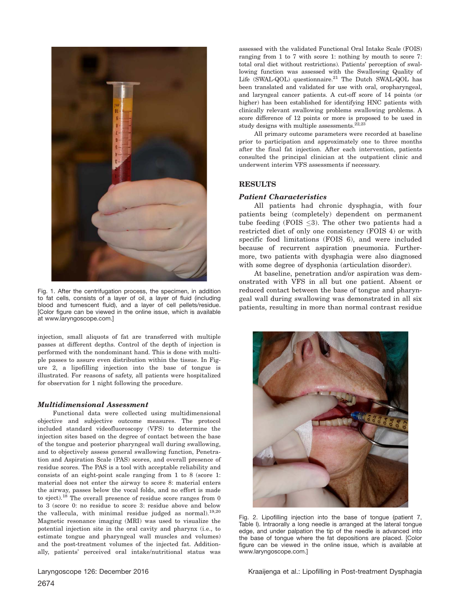

Fig. 1. After the centrifugation process, the specimen, in addition to fat cells, consists of a layer of oil, a layer of fluid (including blood and tumescent fluid), and a layer of cell pellets/residue. [Color figure can be viewed in the online issue, which is available at [www.laryngoscope.com](http://www.laryngoscope.com).]

injection, small aliquots of fat are transferred with multiple passes at different depths. Control of the depth of injection is performed with the nondominant hand. This is done with multiple passes to assure even distribution within the tissue. In Figure 2, a lipofilling injection into the base of tongue is illustrated. For reasons of safety, all patients were hospitalized for observation for 1 night following the procedure.

#### Multidimensional Assessment

Functional data were collected using multidimensional objective and subjective outcome measures. The protocol included standard videofluoroscopy (VFS) to determine the injection sites based on the degree of contact between the base of the tongue and posterior pharyngeal wall during swallowing, and to objectively assess general swallowing function, Penetration and Aspiration Scale (PAS) scores, and overall presence of residue scores. The PAS is a tool with acceptable reliability and consists of an eight-point scale ranging from 1 to 8 (score 1: material does not enter the airway to score 8: material enters the airway, passes below the vocal folds, and no effort is made to eject).<sup>18</sup> The overall presence of residue score ranges from 0 to 3 (score 0: no residue to score 3: residue above and below the vallecula, with minimal residue judged as normal).19,20 Magnetic resonance imaging (MRI) was used to visualize the potential injection site in the oral cavity and pharynx (i.e., to estimate tongue and pharyngeal wall muscles and volumes) and the post-treatment volumes of the injected fat. Additionally, patients' perceived oral intake/nutritional status was

2674

assessed with the validated Functional Oral Intake Scale (FOIS) ranging from 1 to 7 with score 1: nothing by mouth to score 7: total oral diet without restrictions). Patients' perception of swallowing function was assessed with the Swallowing Quality of Life (SWAL-QOL) questionnaire. $^{21}$  The Dutch SWAL-QOL has been translated and validated for use with oral, oropharyngeal, and laryngeal cancer patients. A cut-off score of 14 points (or higher) has been established for identifying HNC patients with clinically relevant swallowing problems swallowing problems. A score difference of 12 points or more is proposed to be used in study designs with multiple assessments.<sup>22,23</sup>

All primary outcome parameters were recorded at baseline prior to participation and approximately one to three months after the final fat injection. After each intervention, patients consulted the principal clinician at the outpatient clinic and underwent interim VFS assessments if necessary.

# RESULTS

#### Patient Characteristics

All patients had chronic dysphagia, with four patients being (completely) dependent on permanent tube feeding (FOIS  $\leq$ 3). The other two patients had a restricted diet of only one consistency (FOIS 4) or with specific food limitations (FOIS 6), and were included because of recurrent aspiration pneumonia. Furthermore, two patients with dysphagia were also diagnosed with some degree of dysphonia (articulation disorder).

At baseline, penetration and/or aspiration was demonstrated with VFS in all but one patient. Absent or reduced contact between the base of tongue and pharyngeal wall during swallowing was demonstrated in all six patients, resulting in more than normal contrast residue



Fig. 2. Lipofilling injection into the base of tongue (patient 7, Table I). Intraorally a long needle is arranged at the lateral tongue edge, and under palpation the tip of the needle is advanced into the base of tongue where the fat depositions are placed. [Color figure can be viewed in the online issue, which is available at [www.laryngoscope.com.](http://www.laryngoscope.com)]

Laryngoscope 126: December 2016 Kraaijenga et al.: Lipofilling in Post-treatment Dysphagia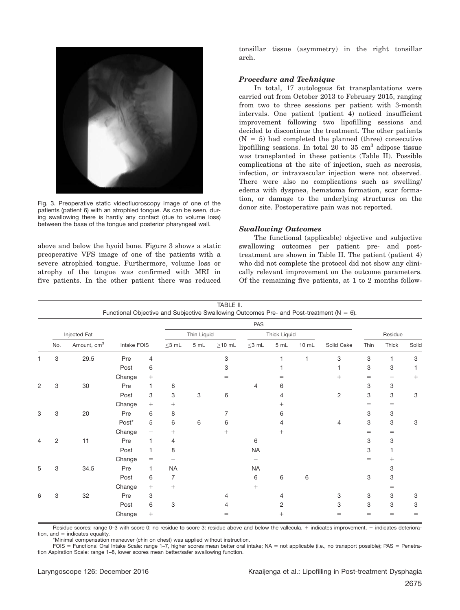

Fig. 3. Preoperative static videofluoroscopy image of one of the patients (patient 6) with an atrophied tongue. As can be seen, during swallowing there is hardly any contact (due to volume loss) between the base of the tongue and posterior pharyngeal wall.

above and below the hyoid bone. Figure 3 shows a static preoperative VFS image of one of the patients with a severe atrophied tongue. Furthermore, volume loss or atrophy of the tongue was confirmed with MRI in five patients. In the other patient there was reduced tonsillar tissue (asymmetry) in the right tonsillar arch.

### Procedure and Technique

In total, 17 autologous fat transplantations were carried out from October 2013 to February 2015, ranging from two to three sessions per patient with 3-month intervals. One patient (patient 4) noticed insufficient improvement following two lipofilling sessions and decided to discontinue the treatment. The other patients  $(N = 5)$  had completed the planned (three) consecutive lipofilling sessions. In total 20 to  $35 \text{ cm}^3$  adipose tissue was transplanted in these patients (Table II). Possible complications at the site of injection, such as necrosis, infection, or intravascular injection were not observed. There were also no complications such as swelling/ edema with dyspnea, hematoma formation, scar formation, or damage to the underlying structures on the donor site. Postoperative pain was not reported.

# Swallowing Outcomes

The functional (applicable) objective and subjective swallowing outcomes per patient pre- and posttreatment are shown in Table II. The patient (patient 4) who did not complete the protocol did not show any clinically relevant improvement on the outcome parameters. Of the remaining five patients, at 1 to 2 months follow-

|                |                |                         |             |                   |                 |      | TABLE II.    |                     |        |       | Functional Objective and Subjective Swallowing Outcomes Pre- and Post-treatment ( $N = 6$ ). |         |                                     |        |
|----------------|----------------|-------------------------|-------------|-------------------|-----------------|------|--------------|---------------------|--------|-------|----------------------------------------------------------------------------------------------|---------|-------------------------------------|--------|
|                |                |                         |             |                   |                 |      |              | PAS                 |        |       |                                                                                              |         |                                     |        |
|                | Injected Fat   |                         |             |                   | Thin Liquid     |      |              | <b>Thick Liquid</b> |        |       |                                                                                              | Residue |                                     |        |
|                | No.            | Amount, cm <sup>3</sup> | Intake FOIS |                   | $\leq$ 3 mL     | 5 mL | $\geq$ 10 mL | $\leq$ 3 mL         | 5 mL   | 10 mL | Solid Cake                                                                                   | Thin    | Thick                               | Solid  |
| 1              | 3              | 29.5                    | Pre         | 4                 |                 |      | 3            |                     | 1      | 1     | 3                                                                                            | 3       | 1                                   | 3      |
|                |                |                         | Post        | 6                 |                 |      | 3            |                     |        |       |                                                                                              | 3       | 3                                   |        |
|                |                |                         | Change      | $\! + \!\!\!\!$   |                 |      | =            |                     | $=$    |       | $^{+}$                                                                                       | $=$     |                                     | $^{+}$ |
| 2              | 3              | 30                      | Pre         | $\mathbf{1}$      | 8               |      |              | $\overline{4}$      | 6      |       |                                                                                              | 3       | 3                                   |        |
|                |                |                         | Post        | 3                 | 3               | 3    | 6            |                     | 4      |       | 2                                                                                            | 3       | 3                                   | 3      |
|                |                |                         | Change      | $\! + \!\!\!\!$   | $\! + \!\!\!\!$ |      |              |                     | $^{+}$ |       |                                                                                              | $=$     | $\hspace*{0.4em} = \hspace*{0.4em}$ |        |
| 3              | 3              | 20                      | Pre         | 6                 | 8               |      | 7            |                     | 6      |       |                                                                                              | 3       | 3                                   |        |
|                |                |                         | Post*       | 5                 | 6               | 6    | 6            |                     | 4      |       | 4                                                                                            | 3       | 3                                   | 3      |
|                |                |                         | Change      | $\qquad \qquad -$ | $^{+}$          |      | $^{+}$       |                     | $^{+}$ |       |                                                                                              | $=$     | $=$                                 |        |
| $\overline{4}$ | $\overline{2}$ | 11                      | Pre         | $\mathbf{1}$      | 4               |      |              | 6                   |        |       |                                                                                              | 3       | 3                                   |        |
|                |                |                         | Post        | $\mathbf{1}$      | 8               |      |              | <b>NA</b>           |        |       |                                                                                              | 3       |                                     |        |
|                |                |                         | Change      | $=$               |                 |      |              |                     |        |       |                                                                                              | $=$     |                                     |        |
| 5              | 3              | 34.5                    | Pre         | 1                 | <b>NA</b>       |      |              | <b>NA</b>           |        |       |                                                                                              |         | 3                                   |        |
|                |                |                         | Post        | 6                 | $\overline{7}$  |      |              | 6                   | 6      | 6     |                                                                                              | 3       | 3                                   |        |
|                |                |                         | Change      | $\! + \!\!\!\!$   | $\! + \!\!\!\!$ |      |              | $^{+}$              |        |       |                                                                                              |         | $=$                                 |        |
| 6              | 3              | 32                      | Pre         | 3                 |                 |      | 4            |                     | 4      |       | 3                                                                                            | 3       | 3                                   | 3      |
|                |                |                         | Post        | 6                 | 3               |      |              |                     | 2      |       | 3                                                                                            | 3       | 3                                   | 3      |
|                |                |                         | Change      | $\! + \!\!\!\!$   |                 |      | $=$          |                     | $^{+}$ |       | $=$                                                                                          | $=$     | $=$                                 | $=$    |

Residue scores: range 0-3 with score 0: no residue to score 3: residue above and below the vallecula. + indicates improvement, - indicates deterioration, and  $=$  indicates equality.

\*Minimal compensation maneuver (chin on chest) was applied without instruction.

FOIS = Functional Oral Intake Scale: range 1–7, higher scores mean better oral intake; NA = not applicable (i.e., no transport possible); PAS = Penetration Aspiration Scale: range 1–8, lower scores mean better/safer swallowing function.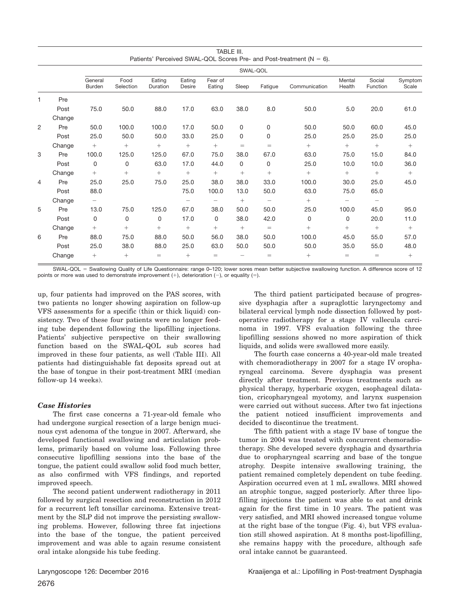|   | Patients' Perceived SWAL-QOL Scores Pre- and Post-treatment ( $N = 6$ ). |                   |                   |                    |                  |                   |                                   |             |               |                  |                    |                  |
|---|--------------------------------------------------------------------------|-------------------|-------------------|--------------------|------------------|-------------------|-----------------------------------|-------------|---------------|------------------|--------------------|------------------|
|   |                                                                          | SWAL-QOL          |                   |                    |                  |                   |                                   |             |               |                  |                    |                  |
|   |                                                                          | General<br>Burden | Food<br>Selection | Eating<br>Duration | Eating<br>Desire | Fear of<br>Eating | Sleep                             | Fatigue     | Communication | Mental<br>Health | Social<br>Function | Symptom<br>Scale |
| 1 | Pre                                                                      |                   |                   |                    |                  |                   |                                   |             |               |                  |                    |                  |
|   | Post                                                                     | 75.0              | 50.0              | 88.0               | 17.0             | 63.0              | 38.0                              | 8.0         | 50.0          | 5.0              | 20.0               | 61.0             |
|   | Change                                                                   |                   |                   |                    |                  |                   |                                   |             |               |                  |                    |                  |
| 2 | Pre                                                                      | 50.0              | 100.0             | 100.0              | 17.0             | 50.0              | 0                                 | 0           | 50.0          | 50.0             | 60.0               | 45.0             |
|   | Post                                                                     | 25.0              | 50.0              | 50.0               | 33.0             | 25.0              | 0                                 | 0           | 25.0          | 25.0             | 25.0               | 25.0             |
|   | Change                                                                   | $^{+}$            | $^{+}$            | $^{+}$             | $^{+}$           | $+$               | $\hspace{1.0cm} = \hspace{1.0cm}$ | $=$         | $+$           | $^{+}$           | $^{+}$             | $^{+}$           |
| 3 | Pre                                                                      | 100.0             | 125.0             | 125.0              | 67.0             | 75.0              | 38.0                              | 67.0        | 63.0          | 75.0             | 15.0               | 84.0             |
|   | Post                                                                     | 0                 | 0                 | 63.0               | 17.0             | 44.0              | 0                                 | $\mathbf 0$ | 25.0          | 10.0             | 10.0               | 36.0             |
|   | Change                                                                   | $^{+}$            | $^{+}$            | $^{+}$             | $^{+}$           | $^{+}$            | $+$                               | $^{+}$      | $^{+}$        | $^{+}$           | $^{+}$             | $^{+}$           |
| 4 | Pre                                                                      | 25.0              | 25.0              | 75.0               | 25.0             | 38.0              | 38.0                              | 33.0        | 100.0         | 30.0             | 25.0               | 45.0             |
|   | Post                                                                     | 88.0              |                   |                    | 75.0             | 100.0             | 13.0                              | 50.0        | 63.0          | 75.0             | 65.0               |                  |
|   | Change                                                                   | $\qquad \qquad -$ |                   |                    |                  |                   | $^{+}$                            |             | $+$           |                  |                    |                  |
| 5 | Pre                                                                      | 13.0              | 75.0              | 125.0              | 67.0             | 38.0              | 50.0                              | 50.0        | 25.0          | 100.0            | 45.0               | 95.0             |
|   | Post                                                                     | 0                 | 0                 | 0                  | 17.0             | $\mathbf 0$       | 38.0                              | 42.0        | $\Omega$      | 0                | 20.0               | 11.0             |
|   | Change                                                                   | $^{+}$            | $^{+}$            | $^{+}$             | $+$              | $^{+}$            | $+$                               | $=$         | $^{+}$        | $+$              | $^{+}$             | $^{+}$           |
| 6 | Pre                                                                      | 88.0              | 75.0              | 88.0               | 50.0             | 56.0              | 38.0                              | 50.0        | 100.0         | 45.0             | 55.0               | 57.0             |
|   | Post                                                                     | 25.0              | 38.0              | 88.0               | 25.0             | 63.0              | 50.0                              | 50.0        | 50.0          | 35.0             | 55.0               | 48.0             |
|   | Change                                                                   | $^{+}$            | $^{+}$            | $=$                | $^{+}$           | $=$               |                                   | $=$         | $^{+}$        | $=$              | $=$                | $^{+}$           |

TABLE III.

SWAL-QOL = Swallowing Quality of Life Questionnaire: range 0–120; lower sores mean better subjective swallowing function. A difference score of 12 points or more was used to demonstrate improvement  $(+)$ , deterioration  $(-)$ , or equality  $(=)$ .

up, four patients had improved on the PAS scores, with two patients no longer showing aspiration on follow-up VFS assessments for a specific (thin or thick liquid) consistency. Two of these four patients were no longer feeding tube dependent following the lipofilling injections. Patients' subjective perspective on their swallowing function based on the SWAL-QOL sub scores had improved in these four patients, as well (Table III). All patients had distinguishable fat deposits spread out at the base of tongue in their post-treatment MRI (median follow-up 14 weeks).

# Case Histories

The first case concerns a 71-year-old female who had undergone surgical resection of a large benign mucinous cyst adenoma of the tongue in 2007. Afterward, she developed functional swallowing and articulation problems, primarily based on volume loss. Following three consecutive lipofilling sessions into the base of the tongue, the patient could swallow solid food much better, as also confirmed with VFS findings, and reported improved speech.

The second patient underwent radiotherapy in 2011 followed by surgical resection and reconstruction in 2012 for a recurrent left tonsillar carcinoma. Extensive treatment by the SLP did not improve the persisting swallowing problems. However, following three fat injections into the base of the tongue, the patient perceived improvement and was able to again resume consistent oral intake alongside his tube feeding.

The third patient participated because of progressive dysphagia after a supraglottic laryngectomy and bilateral cervical lymph node dissection followed by postoperative radiotherapy for a stage IV vallecula carcinoma in 1997. VFS evaluation following the three lipofilling sessions showed no more aspiration of thick liquids, and solids were swallowed more easily.

The fourth case concerns a 40-year-old male treated with chemoradiotherapy in 2007 for a stage IV oropharyngeal carcinoma. Severe dysphagia was present directly after treatment. Previous treatments such as physical therapy, hyperbaric oxygen, esophageal dilatation, cricopharyngeal myotomy, and larynx suspension were carried out without success. After two fat injections the patient noticed insufficient improvements and decided to discontinue the treatment.

The fifth patient with a stage IV base of tongue the tumor in 2004 was treated with concurrent chemoradiotherapy. She developed severe dysphagia and dysarthria due to oropharyngeal scarring and base of the tongue atrophy. Despite intensive swallowing training, the patient remained completely dependent on tube feeding. Aspiration occurred even at 1 mL swallows. MRI showed an atrophic tongue, sagged posteriorly. After three lipofilling injections the patient was able to eat and drink again for the first time in 10 years. The patient was very satisfied, and MRI showed increased tongue volume at the right base of the tongue (Fig. 4), but VFS evaluation still showed aspiration. At 8 months post-lipofilling, she remains happy with the procedure, although safe oral intake cannot be guaranteed.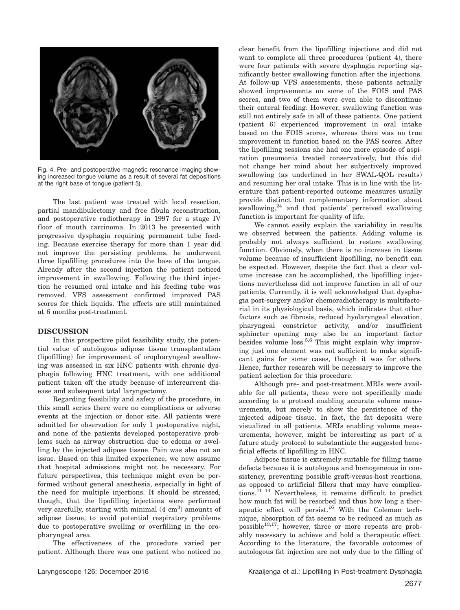

Fig. 4. Pre- and postoperative magnetic resonance imaging showing increased tongue volume as a result of several fat depositions at the right base of tongue (patient 5).

The last patient was treated with local resection, partial mandibulectomy and free fibula reconstruction, and postoperative radiotherapy in 1997 for a stage IV floor of mouth carcinoma. In 2013 he presented with progressive dysphagia requiring permanent tube feeding. Because exercise therapy for more than 1 year did not improve the persisting problems, he underwent three lipofilling procedures into the base of the tongue. Already after the second injection the patient noticed improvement in swallowing. Following the third injection he resumed oral intake and his feeding tube was removed. VFS assessment confirmed improved PAS scores for thick liquids. The effects are still maintained at 6 months post-treatment.

# **DISCUSSION**

In this prospective pilot feasibility study, the potential value of autologous adipose tissue transplantation (lipofilling) for improvement of oropharyngeal swallowing was assessed in six HNC patients with chronic dysphagia following HNC treatment, with one additional patient taken off the study because of intercurrent disease and subsequent total laryngectomy.

Regarding feasibility and safety of the procedure, in this small series there were no complications or adverse events at the injection or donor site. All patients were admitted for observation for only 1 postoperative night, and none of the patients developed postoperative problems such as airway obstruction due to edema or swelling by the injected adipose tissue. Pain was also not an issue. Based on this limited experience, we now assume that hospital admissions might not be necessary. For future perspectives, this technique might even be performed without general anesthesia, especially in light of the need for multiple injections. It should be stressed, though, that the lipofilling injections were performed very carefully, starting with minimal  $(4 \text{ cm}^3)$  amounts of adipose tissue, to avoid potential respiratory problems due to postoperative swelling or overfilling in the oropharyngeal area.

The effectiveness of the procedure varied per patient. Although there was one patient who noticed no clear benefit from the lipofilling injections and did not want to complete all three procedures (patient 4), there were four patients with severe dysphagia reporting significantly better swallowing function after the injections. At follow-up VFS assessments, these patients actually showed improvements on some of the FOIS and PAS scores, and two of them were even able to discontinue their enteral feeding. However, swallowing function was still not entirely safe in all of these patients. One patient (patient 6) experienced improvement in oral intake based on the FOIS scores, whereas there was no true improvement in function based on the PAS scores. After the lipofilling sessions she had one more episode of aspiration pneumonia treated conservatively, but this did not change her mind about her subjectively improved swallowing (as underlined in her SWAL-QOL results) and resuming her oral intake. This is in line with the literature that patient-reported outcome measures usually provide distinct but complementary information about swallowing,<sup>24</sup> and that patients' perceived swallowing function is important for quality of life.

We cannot easily explain the variability in results we observed between the patients. Adding volume is probably not always sufficient to restore swallowing function. Obviously, when there is no increase in tissue volume because of insufficient lipofilling, no benefit can be expected. However, despite the fact that a clear volume increase can be accomplished, the lipofilling injections nevertheless did not improve function in all of our patients. Currently, it is well acknowledged that dysphagia post-surgery and/or chemoradiotherapy is multifactorial in its physiological basis, which indicates that other factors such as fibrosis, reduced hyolaryngeal elevation, pharyngeal constrictor activity, and/or insufficient sphincter opening may also be an important factor besides volume loss. $5,6$  This might explain why improving just one element was not sufficient to make significant gains for some cases, though it was for others. Hence, further research will be necessary to improve the patient selection for this procedure.

Although pre- and post-treatment MRIs were available for all patients, these were not specifically made according to a protocol enabling accurate volume measurements, but merely to show the persistence of the injected adipose tissue. In fact, the fat deposits were visualized in all patients. MRIs enabling volume measurements, however, might be interesting as part of a future study protocol to substantiate the suggested beneficial effects of lipofilling in HNC.

Adipose tissue is extremely suitable for filling tissue defects because it is autologous and homogeneous in consistency, preventing possible graft-versus-host reactions, as opposed to artificial fillers that may have complications.<sup> $11-14$ </sup> Nevertheless, it remains difficult to predict how much fat will be resorbed and thus how long a therapeutic effect will persist.<sup>16</sup> With the Coleman technique, absorption of fat seems to be reduced as much as possible<sup>13,17</sup>; however, three or more repeats are probably necessary to achieve and hold a therapeutic effect. According to the literature, the favorable outcomes of autologous fat injection are not only due to the filling of